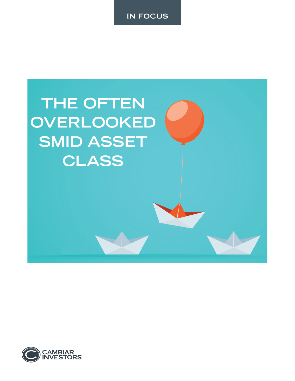



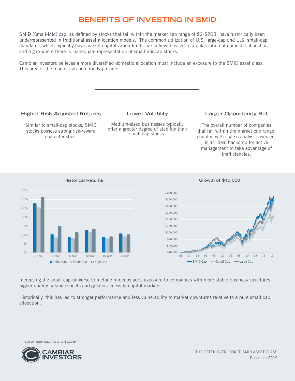# **BENEFITS OF INVESTING IN SMID**

SMID (Small-Mid) cap, as defined by stocks that fall within the market cap range of \$2-\$20B, have historically been underrepresented in traditional asset allocation models. The common utilization of U.S. large-cap and U.S. small-cap mandates, which typically have market capitalization limits, we believe has led to a polarization of domestic allocation and a gap where there is inadequate representation of small-midcap stocks.

Cambiar Investors believes a more diversified domestic allocation must include an exposure to the SMID asset class. This area of the market can potentially provide:

#### **Higher Risk-Adjusted Returns**

Similar to small-cap stocks, SMID stocks possess strong risk-reward characteristics.

Medium-sized businesses typically offer a greater degree of stability than small cap stocks.

**Lower Volatility** 

#### **Larger Opportunity Set**

The overall number of companies that fall within the market cap range, coupled with sparse analyst coverage, is an ideal backdrop for active management to take advantage of inefficiencies.



Increasing the small cap universe to include midcaps adds exposure to companies with more stable business structures, higher quality balance sheets and greater access to capital markets.

Historically, this has led to stronger performance and less vulnerability to market downturns relative to a pure small cap allocation.

Source: Morningstar. As of 12.31.2019

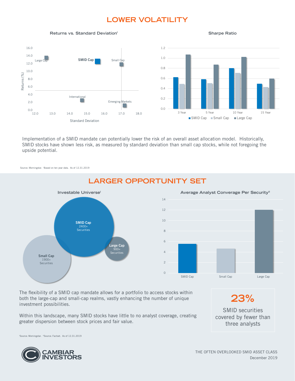# **LOWER VOLATILITY**



Implementation of a SMID mandate can potentially lower the risk of an overall asset allocation model. Historically, SMID stocks have shown less risk, as measured by standard deviation than small cap stocks, while not foregoing the upside potential.

Source: Morningstar. 'Based on ten year data. As of 12.31.2019



### **LARGER OPPORTUNITY SET**

Average Analyst Converage Per Security<sup>11</sup> 0  $\overline{2}$ 4 6 8 10 12 14 SMID Cap Small Cap Small Cap Large Cap

The flexibility of a SMID cap mandate allows for a portfolio to access stocks within both the large-cap and small-cap realms, vastly enhancing the number of unique investment possibilities.

Within this landscape, many SMID stocks have little to no analyst coverage, creating greater dispersion between stock prices and fair value.

**23%** SMID securities covered by fewer than

three analysts

'Source: Morningstar. "Source: Factset. As of 12.31.2019